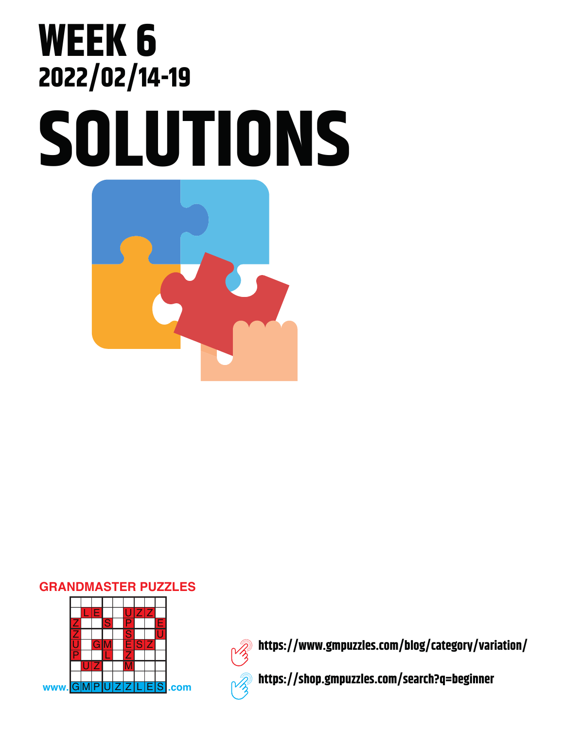## **SOLUTIONS WEEK 6 2022/02/14-19**



## **GRANDMASTER PUZZLES**





**https://www.gmpuzzles.com/blog/category/variation/**

**https://shop.gmpuzzles.com/search?q=beginner**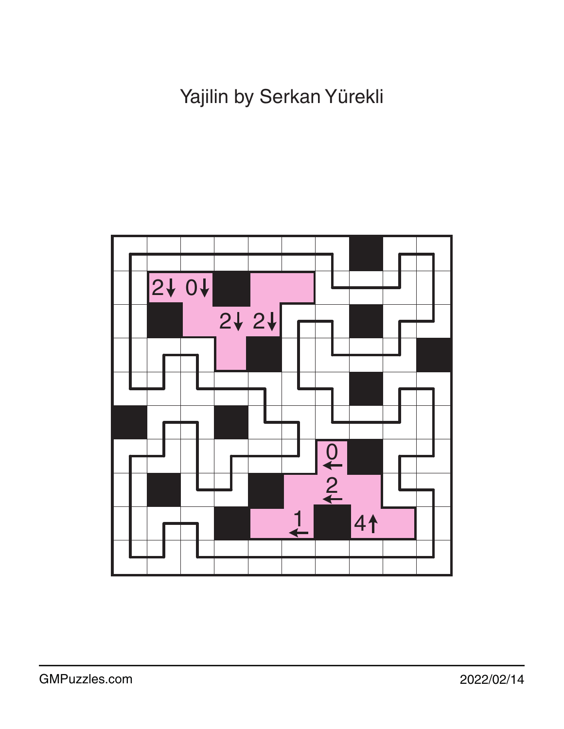Yajilin by Serkan Yürekli

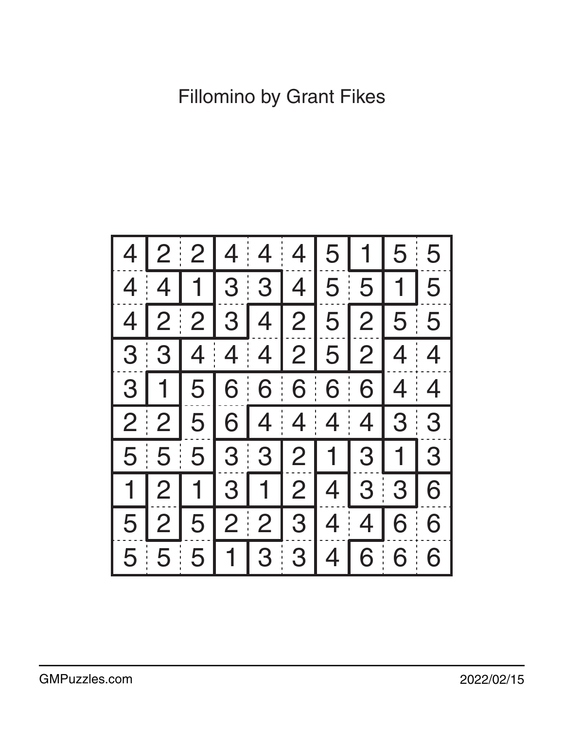Fillomino by Grant Fikes

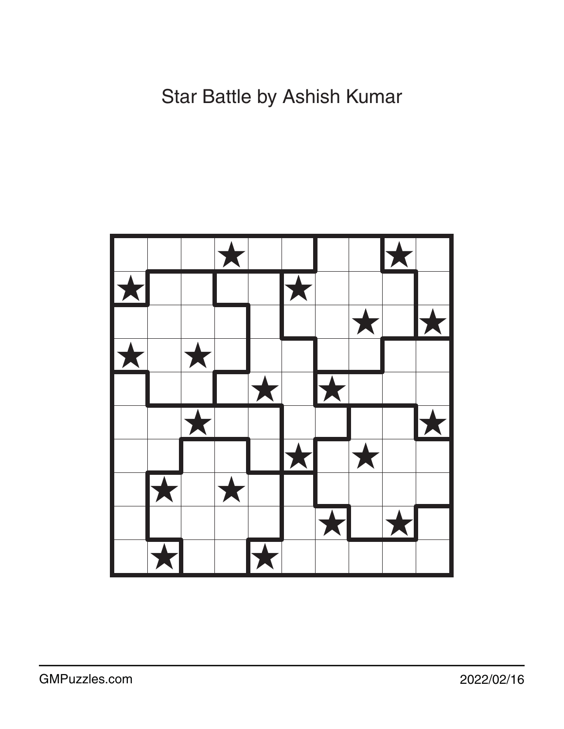## Star Battle by Ashish Kumar

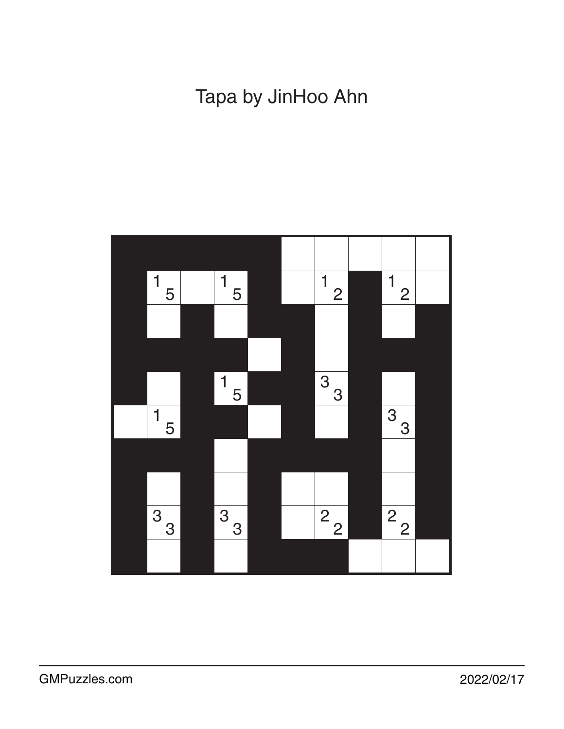Tapa by JinHoo Ahn

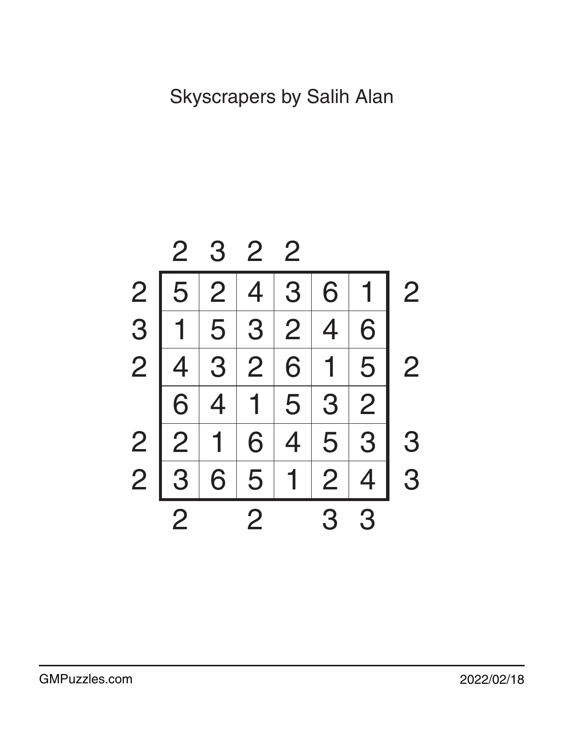